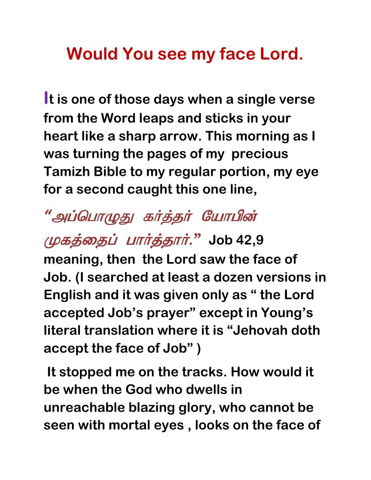## **Would You see my face Lord.**

**It is one of those days when a single verse from the Word leaps and sticks in your heart like a sharp arrow. This morning as I was turning the pages of my precious Tamizh Bible to my regular portion, my eye for a second caught this one line,**

## "அப்பொழுது கர்த்தர் யோபின்

## முகத்தைப் பார்த்தார்." Job 42,9

**meaning, then the Lord saw the face of Job. (I searched at least a dozen versions in English and it was given only as " the Lord accepted Job's prayer" except in Young's literal translation where it is "Jehovah doth accept the face of Job" )** 

 **It stopped me on the tracks. How would it be when the God who dwells in unreachable blazing glory, who cannot be seen with mortal eyes , looks on the face of**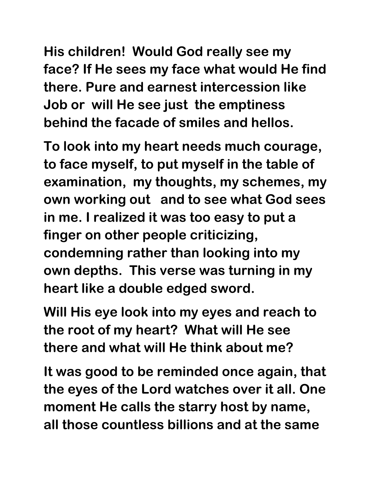**His children! Would God really see my face? If He sees my face what would He find there. Pure and earnest intercession like Job or will He see just the emptiness behind the facade of smiles and hellos.** 

**To look into my heart needs much courage, to face myself, to put myself in the table of examination, my thoughts, my schemes, my own working out and to see what God sees in me. I realized it was too easy to put a finger on other people criticizing, condemning rather than looking into my own depths. This verse was turning in my heart like a double edged sword.** 

**Will His eye look into my eyes and reach to the root of my heart? What will He see there and what will He think about me?** 

**It was good to be reminded once again, that the eyes of the Lord watches over it all. One moment He calls the starry host by name, all those countless billions and at the same**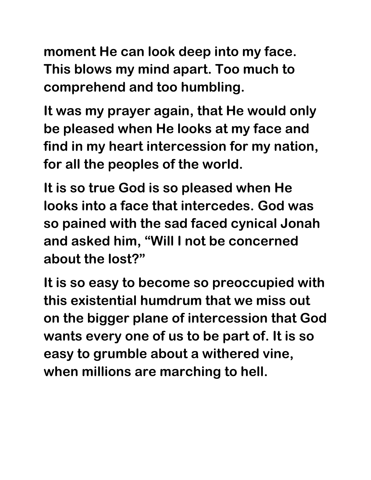**moment He can look deep into my face. This blows my mind apart. Too much to comprehend and too humbling.** 

**It was my prayer again, that He would only be pleased when He looks at my face and find in my heart intercession for my nation, for all the peoples of the world.** 

**It is so true God is so pleased when He looks into a face that intercedes. God was so pained with the sad faced cynical Jonah and asked him, "Will I not be concerned about the lost?"** 

**It is so easy to become so preoccupied with this existential humdrum that we miss out on the bigger plane of intercession that God wants every one of us to be part of. It is so easy to grumble about a withered vine, when millions are marching to hell.**